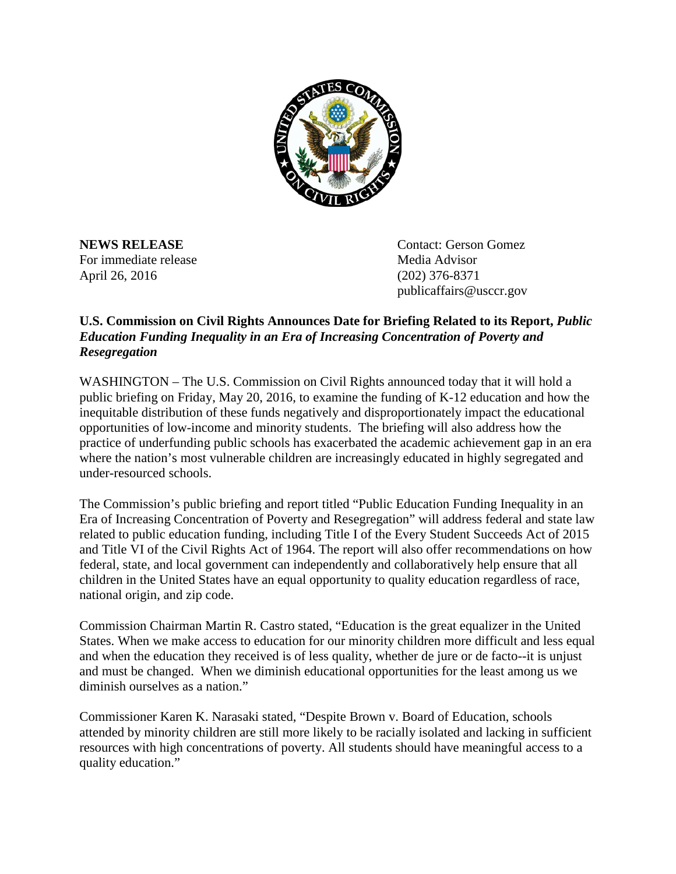

For immediate release and the Media Advisor April 26, 2016 (202) 376-8371

**NEWS RELEASE** Contact: Gerson Gomez publicaffairs@usccr.gov

## **U.S. Commission on Civil Rights Announces Date for Briefing Related to its Report,** *Public Education Funding Inequality in an Era of Increasing Concentration of Poverty and Resegregation*

WASHINGTON – The U.S. Commission on Civil Rights announced today that it will hold a public briefing on Friday, May 20, 2016, to examine the funding of K-12 education and how the inequitable distribution of these funds negatively and disproportionately impact the educational opportunities of low-income and minority students. The briefing will also address how the practice of underfunding public schools has exacerbated the academic achievement gap in an era where the nation's most vulnerable children are increasingly educated in highly segregated and under-resourced schools.

The Commission's public briefing and report titled "Public Education Funding Inequality in an Era of Increasing Concentration of Poverty and Resegregation" will address federal and state law related to public education funding, including Title I of the Every Student Succeeds Act of 2015 and Title VI of the Civil Rights Act of 1964. The report will also offer recommendations on how federal, state, and local government can independently and collaboratively help ensure that all children in the United States have an equal opportunity to quality education regardless of race, national origin, and zip code.

Commission Chairman Martin R. Castro stated, "Education is the great equalizer in the United States. When we make access to education for our minority children more difficult and less equal and when the education they received is of less quality, whether de jure or de facto--it is unjust and must be changed. When we diminish educational opportunities for the least among us we diminish ourselves as a nation."

Commissioner Karen K. Narasaki stated, "Despite Brown v. Board of Education, schools attended by minority children are still more likely to be racially isolated and lacking in sufficient resources with high concentrations of poverty. All students should have meaningful access to a quality education."